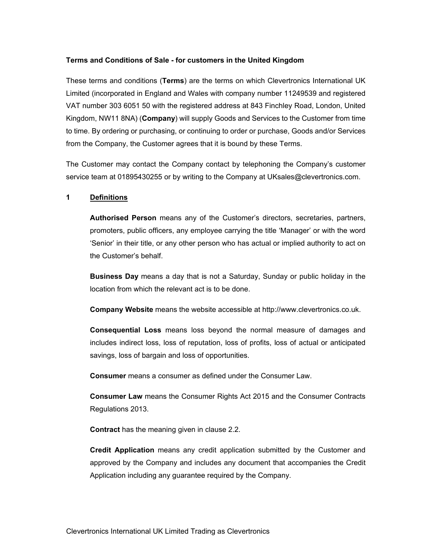### **Terms and Conditions of Sale - for customers in the United Kingdom**

These terms and conditions (**Terms**) are the terms on which Clevertronics International UK Limited (incorporated in England and Wales with company number 11249539 and registered VAT number 303 6051 50 with the registered address at 843 Finchley Road, London, United Kingdom, NW11 8NA) (**Company**) will supply Goods and Services to the Customer from time to time. By ordering or purchasing, or continuing to order or purchase, Goods and/or Services from the Company, the Customer agrees that it is bound by these Terms.

The Customer may contact the Company contact by telephoning the Company's customer service team at 01895430255 or by writing to the Company at UKsales@clevertronics.com.

#### **1 Definitions**

**Authorised Person** means any of the Customer's directors, secretaries, partners, promoters, public officers, any employee carrying the title 'Manager' or with the word 'Senior' in their title, or any other person who has actual or implied authority to act on the Customer's behalf.

**Business Day** means a day that is not a Saturday, Sunday or public holiday in the location from which the relevant act is to be done.

**Company Website** means the website accessible at http://www.clevertronics.co.uk.

**Consequential Loss** means loss beyond the normal measure of damages and includes indirect loss, loss of reputation, loss of profits, loss of actual or anticipated savings, loss of bargain and loss of opportunities.

**Consumer** means a consumer as defined under the Consumer Law.

**Consumer Law** means the Consumer Rights Act 2015 and the Consumer Contracts Regulations 2013.

**Contract** has the meaning given in clause 2.2.

**Credit Application** means any credit application submitted by the Customer and approved by the Company and includes any document that accompanies the Credit Application including any guarantee required by the Company.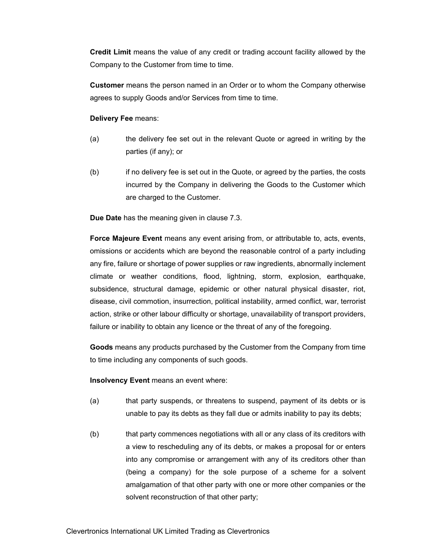**Credit Limit** means the value of any credit or trading account facility allowed by the Company to the Customer from time to time.

**Customer** means the person named in an Order or to whom the Company otherwise agrees to supply Goods and/or Services from time to time.

#### **Delivery Fee** means:

- (a) the delivery fee set out in the relevant Quote or agreed in writing by the parties (if any); or
- (b) if no delivery fee is set out in the Quote, or agreed by the parties, the costs incurred by the Company in delivering the Goods to the Customer which are charged to the Customer.

**Due Date** has the meaning given in clause 7.3.

**Force Majeure Event** means any event arising from, or attributable to, acts, events, omissions or accidents which are beyond the reasonable control of a party including any fire, failure or shortage of power supplies or raw ingredients, abnormally inclement climate or weather conditions, flood, lightning, storm, explosion, earthquake, subsidence, structural damage, epidemic or other natural physical disaster, riot, disease, civil commotion, insurrection, political instability, armed conflict, war, terrorist action, strike or other labour difficulty or shortage, unavailability of transport providers, failure or inability to obtain any licence or the threat of any of the foregoing.

**Goods** means any products purchased by the Customer from the Company from time to time including any components of such goods.

**Insolvency Event** means an event where:

- (a) that party suspends, or threatens to suspend, payment of its debts or is unable to pay its debts as they fall due or admits inability to pay its debts;
- (b) that party commences negotiations with all or any class of its creditors with a view to rescheduling any of its debts, or makes a proposal for or enters into any compromise or arrangement with any of its creditors other than (being a company) for the sole purpose of a scheme for a solvent amalgamation of that other party with one or more other companies or the solvent reconstruction of that other party;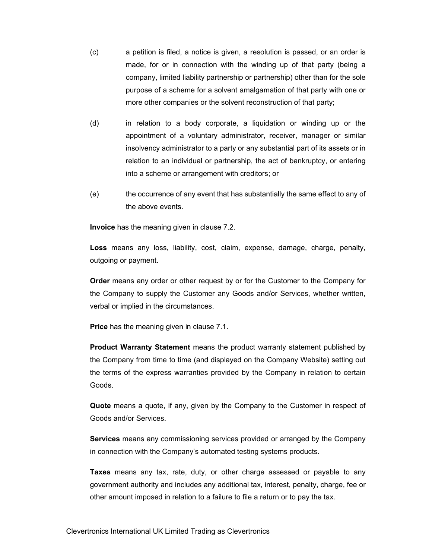- (c) a petition is filed, a notice is given, a resolution is passed, or an order is made, for or in connection with the winding up of that party (being a company, limited liability partnership or partnership) other than for the sole purpose of a scheme for a solvent amalgamation of that party with one or more other companies or the solvent reconstruction of that party;
- (d) in relation to a body corporate, a liquidation or winding up or the appointment of a voluntary administrator, receiver, manager or similar insolvency administrator to a party or any substantial part of its assets or in relation to an individual or partnership, the act of bankruptcy, or entering into a scheme or arrangement with creditors; or
- (e) the occurrence of any event that has substantially the same effect to any of the above events.

**Invoice** has the meaning given in clause 7.2.

**Loss** means any loss, liability, cost, claim, expense, damage, charge, penalty, outgoing or payment.

**Order** means any order or other request by or for the Customer to the Company for the Company to supply the Customer any Goods and/or Services, whether written, verbal or implied in the circumstances.

**Price** has the meaning given in clause 7.1.

**Product Warranty Statement** means the product warranty statement published by the Company from time to time (and displayed on the Company Website) setting out the terms of the express warranties provided by the Company in relation to certain Goods.

**Quote** means a quote, if any, given by the Company to the Customer in respect of Goods and/or Services.

**Services** means any commissioning services provided or arranged by the Company in connection with the Company's automated testing systems products.

**Taxes** means any tax, rate, duty, or other charge assessed or payable to any government authority and includes any additional tax, interest, penalty, charge, fee or other amount imposed in relation to a failure to file a return or to pay the tax.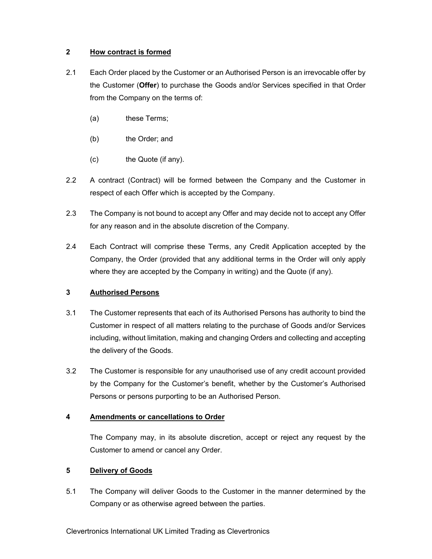# **2 How contract is formed**

- 2.1 Each Order placed by the Customer or an Authorised Person is an irrevocable offer by the Customer (**Offer**) to purchase the Goods and/or Services specified in that Order from the Company on the terms of:
	- (a) these Terms;
	- (b) the Order; and
	- (c) the Quote (if any).
- 2.2 A contract (Contract) will be formed between the Company and the Customer in respect of each Offer which is accepted by the Company.
- 2.3 The Company is not bound to accept any Offer and may decide not to accept any Offer for any reason and in the absolute discretion of the Company.
- 2.4 Each Contract will comprise these Terms, any Credit Application accepted by the Company, the Order (provided that any additional terms in the Order will only apply where they are accepted by the Company in writing) and the Quote (if any).

### **3 Authorised Persons**

- 3.1 The Customer represents that each of its Authorised Persons has authority to bind the Customer in respect of all matters relating to the purchase of Goods and/or Services including, without limitation, making and changing Orders and collecting and accepting the delivery of the Goods.
- 3.2 The Customer is responsible for any unauthorised use of any credit account provided by the Company for the Customer's benefit, whether by the Customer's Authorised Persons or persons purporting to be an Authorised Person.

# **4 Amendments or cancellations to Order**

The Company may, in its absolute discretion, accept or reject any request by the Customer to amend or cancel any Order.

# **5 Delivery of Goods**

5.1 The Company will deliver Goods to the Customer in the manner determined by the Company or as otherwise agreed between the parties.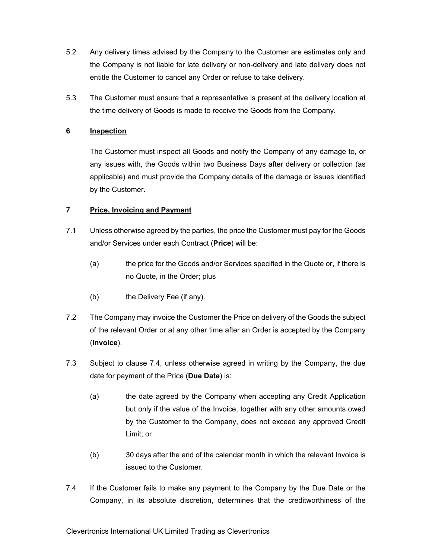- 5.2 Any delivery times advised by the Company to the Customer are estimates only and the Company is not liable for late delivery or non-delivery and late delivery does not entitle the Customer to cancel any Order or refuse to take delivery.
- 5.3 The Customer must ensure that a representative is present at the delivery location at the time delivery of Goods is made to receive the Goods from the Company.

# **6 Inspection**

The Customer must inspect all Goods and notify the Company of any damage to, or any issues with, the Goods within two Business Days after delivery or collection (as applicable) and must provide the Company details of the damage or issues identified by the Customer.

# **7 Price, Invoicing and Payment**

- 7.1 Unless otherwise agreed by the parties, the price the Customer must pay for the Goods and/or Services under each Contract (**Price**) will be:
	- (a) the price for the Goods and/or Services specified in the Quote or, if there is no Quote, in the Order; plus
	- (b) the Delivery Fee (if any).
- 7.2 The Company may invoice the Customer the Price on delivery of the Goods the subject of the relevant Order or at any other time after an Order is accepted by the Company (**Invoice**).
- 7.3 Subject to clause 7.4, unless otherwise agreed in writing by the Company, the due date for payment of the Price (**Due Date**) is:
	- (a) the date agreed by the Company when accepting any Credit Application but only if the value of the Invoice, together with any other amounts owed by the Customer to the Company, does not exceed any approved Credit Limit; or
	- (b) 30 days after the end of the calendar month in which the relevant Invoice is issued to the Customer.
- 7.4 If the Customer fails to make any payment to the Company by the Due Date or the Company, in its absolute discretion, determines that the creditworthiness of the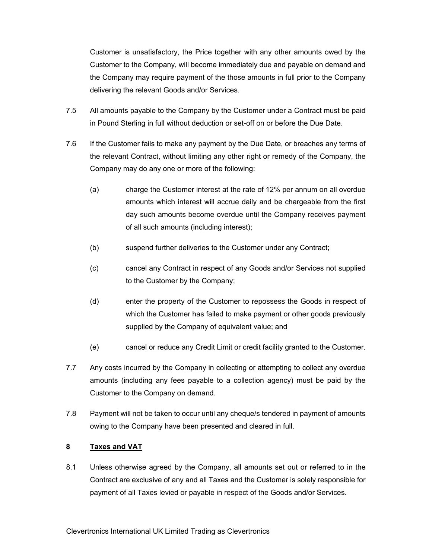Customer is unsatisfactory, the Price together with any other amounts owed by the Customer to the Company, will become immediately due and payable on demand and the Company may require payment of the those amounts in full prior to the Company delivering the relevant Goods and/or Services.

- 7.5 All amounts payable to the Company by the Customer under a Contract must be paid in Pound Sterling in full without deduction or set-off on or before the Due Date.
- 7.6 If the Customer fails to make any payment by the Due Date, or breaches any terms of the relevant Contract, without limiting any other right or remedy of the Company, the Company may do any one or more of the following:
	- (a) charge the Customer interest at the rate of 12% per annum on all overdue amounts which interest will accrue daily and be chargeable from the first day such amounts become overdue until the Company receives payment of all such amounts (including interest);
	- (b) suspend further deliveries to the Customer under any Contract;
	- (c) cancel any Contract in respect of any Goods and/or Services not supplied to the Customer by the Company;
	- (d) enter the property of the Customer to repossess the Goods in respect of which the Customer has failed to make payment or other goods previously supplied by the Company of equivalent value; and
	- (e) cancel or reduce any Credit Limit or credit facility granted to the Customer.
- 7.7 Any costs incurred by the Company in collecting or attempting to collect any overdue amounts (including any fees payable to a collection agency) must be paid by the Customer to the Company on demand.
- 7.8 Payment will not be taken to occur until any cheque/s tendered in payment of amounts owing to the Company have been presented and cleared in full.

# **8 Taxes and VAT**

8.1 Unless otherwise agreed by the Company, all amounts set out or referred to in the Contract are exclusive of any and all Taxes and the Customer is solely responsible for payment of all Taxes levied or payable in respect of the Goods and/or Services.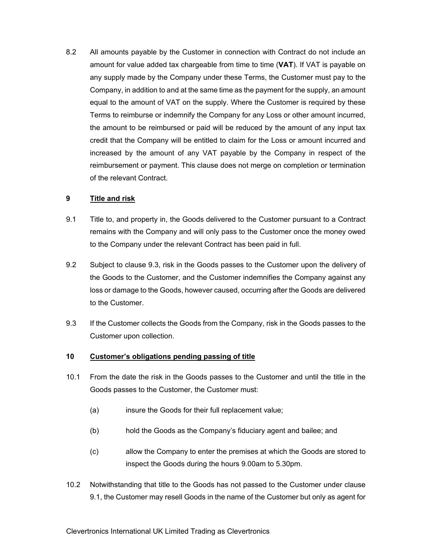8.2 All amounts payable by the Customer in connection with Contract do not include an amount for value added tax chargeable from time to time (**VAT**). If VAT is payable on any supply made by the Company under these Terms, the Customer must pay to the Company, in addition to and at the same time as the payment for the supply, an amount equal to the amount of VAT on the supply. Where the Customer is required by these Terms to reimburse or indemnify the Company for any Loss or other amount incurred, the amount to be reimbursed or paid will be reduced by the amount of any input tax credit that the Company will be entitled to claim for the Loss or amount incurred and increased by the amount of any VAT payable by the Company in respect of the reimbursement or payment. This clause does not merge on completion or termination of the relevant Contract.

#### **9 Title and risk**

- 9.1 Title to, and property in, the Goods delivered to the Customer pursuant to a Contract remains with the Company and will only pass to the Customer once the money owed to the Company under the relevant Contract has been paid in full.
- 9.2 Subject to clause 9.3, risk in the Goods passes to the Customer upon the delivery of the Goods to the Customer, and the Customer indemnifies the Company against any loss or damage to the Goods, however caused, occurring after the Goods are delivered to the Customer.
- 9.3 If the Customer collects the Goods from the Company, risk in the Goods passes to the Customer upon collection.

#### **10 Customer's obligations pending passing of title**

- 10.1 From the date the risk in the Goods passes to the Customer and until the title in the Goods passes to the Customer, the Customer must:
	- (a) insure the Goods for their full replacement value;
	- (b) hold the Goods as the Company's fiduciary agent and bailee; and
	- (c) allow the Company to enter the premises at which the Goods are stored to inspect the Goods during the hours 9.00am to 5.30pm.
- 10.2 Notwithstanding that title to the Goods has not passed to the Customer under clause 9.1, the Customer may resell Goods in the name of the Customer but only as agent for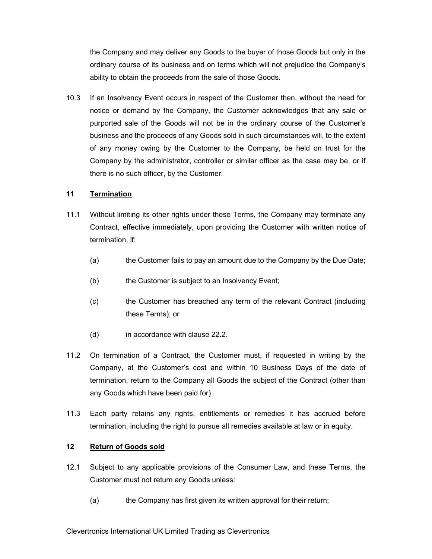the Company and may deliver any Goods to the buyer of those Goods but only in the ordinary course of its business and on terms which will not prejudice the Company's ability to obtain the proceeds from the sale of those Goods.

10.3 If an Insolvency Event occurs in respect of the Customer then, without the need for notice or demand by the Company, the Customer acknowledges that any sale or purported sale of the Goods will not be in the ordinary course of the Customer's business and the proceeds of any Goods sold in such circumstances will, to the extent of any money owing by the Customer to the Company, be held on trust for the Company by the administrator, controller or similar officer as the case may be, or if there is no such officer, by the Customer.

### **11 Termination**

- 11.1 Without limiting its other rights under these Terms, the Company may terminate any Contract, effective immediately, upon providing the Customer with written notice of termination, if:
	- (a) the Customer fails to pay an amount due to the Company by the Due Date;
	- (b) the Customer is subject to an Insolvency Event;
	- (c) the Customer has breached any term of the relevant Contract (including these Terms); or
	- (d) in accordance with clause 22.2.
- 11.2 On termination of a Contract, the Customer must, if requested in writing by the Company, at the Customer's cost and within 10 Business Days of the date of termination, return to the Company all Goods the subject of the Contract (other than any Goods which have been paid for).
- 11.3 Each party retains any rights, entitlements or remedies it has accrued before termination, including the right to pursue all remedies available at law or in equity.

### **12 Return of Goods sold**

- 12.1 Subject to any applicable provisions of the Consumer Law, and these Terms, the Customer must not return any Goods unless:
	- (a) the Company has first given its written approval for their return;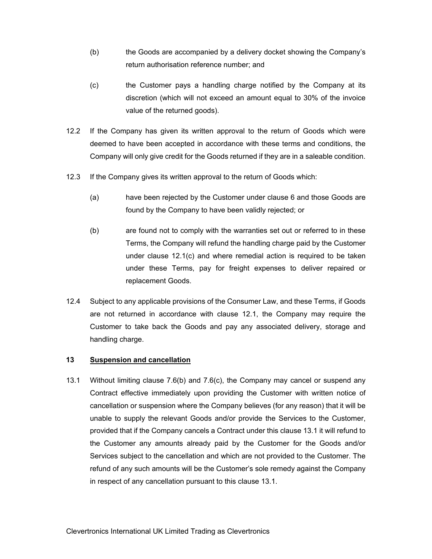- (b) the Goods are accompanied by a delivery docket showing the Company's return authorisation reference number; and
- (c) the Customer pays a handling charge notified by the Company at its discretion (which will not exceed an amount equal to 30% of the invoice value of the returned goods).
- 12.2 If the Company has given its written approval to the return of Goods which were deemed to have been accepted in accordance with these terms and conditions, the Company will only give credit for the Goods returned if they are in a saleable condition.
- 12.3 If the Company gives its written approval to the return of Goods which:
	- (a) have been rejected by the Customer under clause 6 and those Goods are found by the Company to have been validly rejected; or
	- (b) are found not to comply with the warranties set out or referred to in these Terms, the Company will refund the handling charge paid by the Customer under clause 12.1(c) and where remedial action is required to be taken under these Terms, pay for freight expenses to deliver repaired or replacement Goods.
- 12.4 Subject to any applicable provisions of the Consumer Law, and these Terms, if Goods are not returned in accordance with clause 12.1, the Company may require the Customer to take back the Goods and pay any associated delivery, storage and handling charge.

### **13 Suspension and cancellation**

13.1 Without limiting clause 7.6(b) and 7.6(c), the Company may cancel or suspend any Contract effective immediately upon providing the Customer with written notice of cancellation or suspension where the Company believes (for any reason) that it will be unable to supply the relevant Goods and/or provide the Services to the Customer, provided that if the Company cancels a Contract under this clause 13.1 it will refund to the Customer any amounts already paid by the Customer for the Goods and/or Services subject to the cancellation and which are not provided to the Customer. The refund of any such amounts will be the Customer's sole remedy against the Company in respect of any cancellation pursuant to this clause 13.1.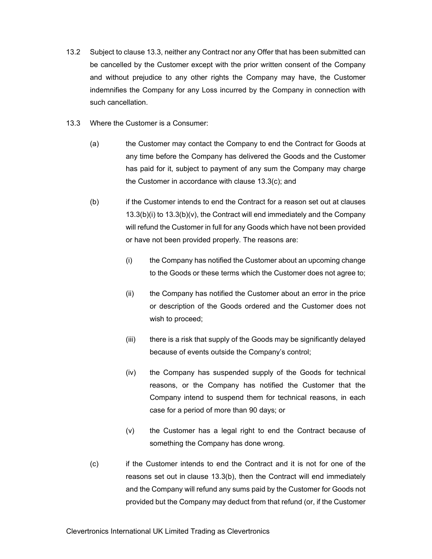- 13.2 Subject to clause 13.3, neither any Contract nor any Offer that has been submitted can be cancelled by the Customer except with the prior written consent of the Company and without prejudice to any other rights the Company may have, the Customer indemnifies the Company for any Loss incurred by the Company in connection with such cancellation.
- 13.3 Where the Customer is a Consumer:
	- (a) the Customer may contact the Company to end the Contract for Goods at any time before the Company has delivered the Goods and the Customer has paid for it, subject to payment of any sum the Company may charge the Customer in accordance with clause 13.3(c); and
	- (b) if the Customer intends to end the Contract for a reason set out at clauses 13.3(b)(i) to 13.3(b)(v), the Contract will end immediately and the Company will refund the Customer in full for any Goods which have not been provided or have not been provided properly. The reasons are:
		- (i) the Company has notified the Customer about an upcoming change to the Goods or these terms which the Customer does not agree to;
		- (ii) the Company has notified the Customer about an error in the price or description of the Goods ordered and the Customer does not wish to proceed;
		- (iii) there is a risk that supply of the Goods may be significantly delayed because of events outside the Company's control;
		- (iv) the Company has suspended supply of the Goods for technical reasons, or the Company has notified the Customer that the Company intend to suspend them for technical reasons, in each case for a period of more than 90 days; or
		- (v) the Customer has a legal right to end the Contract because of something the Company has done wrong.
	- (c) if the Customer intends to end the Contract and it is not for one of the reasons set out in clause 13.3(b), then the Contract will end immediately and the Company will refund any sums paid by the Customer for Goods not provided but the Company may deduct from that refund (or, if the Customer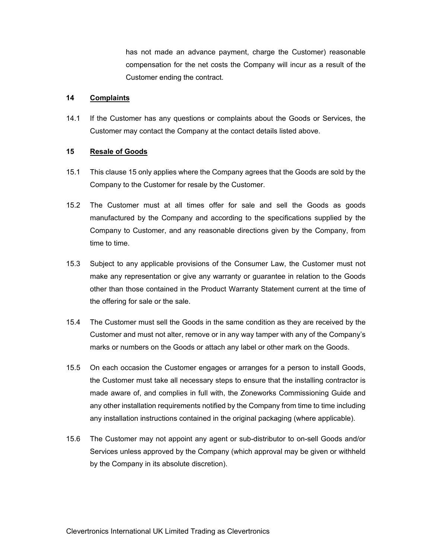has not made an advance payment, charge the Customer) reasonable compensation for the net costs the Company will incur as a result of the Customer ending the contract.

#### **14 Complaints**

14.1 If the Customer has any questions or complaints about the Goods or Services, the Customer may contact the Company at the contact details listed above.

### **15 Resale of Goods**

- 15.1 This clause 15 only applies where the Company agrees that the Goods are sold by the Company to the Customer for resale by the Customer.
- 15.2 The Customer must at all times offer for sale and sell the Goods as goods manufactured by the Company and according to the specifications supplied by the Company to Customer, and any reasonable directions given by the Company, from time to time.
- 15.3 Subject to any applicable provisions of the Consumer Law, the Customer must not make any representation or give any warranty or guarantee in relation to the Goods other than those contained in the Product Warranty Statement current at the time of the offering for sale or the sale.
- 15.4 The Customer must sell the Goods in the same condition as they are received by the Customer and must not alter, remove or in any way tamper with any of the Company's marks or numbers on the Goods or attach any label or other mark on the Goods.
- 15.5 On each occasion the Customer engages or arranges for a person to install Goods, the Customer must take all necessary steps to ensure that the installing contractor is made aware of, and complies in full with, the Zoneworks Commissioning Guide and any other installation requirements notified by the Company from time to time including any installation instructions contained in the original packaging (where applicable).
- 15.6 The Customer may not appoint any agent or sub-distributor to on-sell Goods and/or Services unless approved by the Company (which approval may be given or withheld by the Company in its absolute discretion).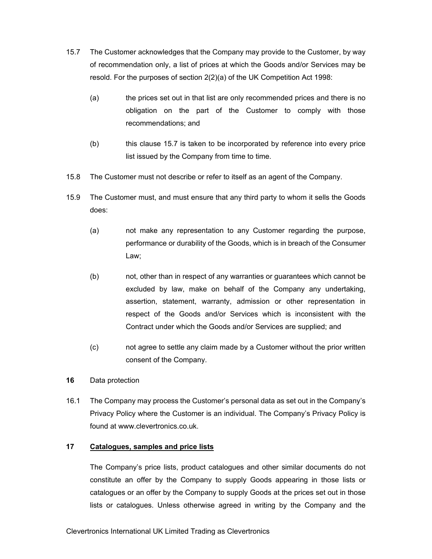- 15.7 The Customer acknowledges that the Company may provide to the Customer, by way of recommendation only, a list of prices at which the Goods and/or Services may be resold. For the purposes of section 2(2)(a) of the UK Competition Act 1998:
	- (a) the prices set out in that list are only recommended prices and there is no obligation on the part of the Customer to comply with those recommendations; and
	- (b) this clause 15.7 is taken to be incorporated by reference into every price list issued by the Company from time to time.
- 15.8 The Customer must not describe or refer to itself as an agent of the Company.
- 15.9 The Customer must, and must ensure that any third party to whom it sells the Goods does:
	- (a) not make any representation to any Customer regarding the purpose, performance or durability of the Goods, which is in breach of the Consumer Law;
	- (b) not, other than in respect of any warranties or guarantees which cannot be excluded by law, make on behalf of the Company any undertaking, assertion, statement, warranty, admission or other representation in respect of the Goods and/or Services which is inconsistent with the Contract under which the Goods and/or Services are supplied; and
	- (c) not agree to settle any claim made by a Customer without the prior written consent of the Company.
- **16** Data protection
- 16.1 The Company may process the Customer's personal data as set out in the Company's Privacy Policy where the Customer is an individual. The Company's Privacy Policy is found at www.clevertronics.co.uk.

## **17 Catalogues, samples and price lists**

The Company's price lists, product catalogues and other similar documents do not constitute an offer by the Company to supply Goods appearing in those lists or catalogues or an offer by the Company to supply Goods at the prices set out in those lists or catalogues. Unless otherwise agreed in writing by the Company and the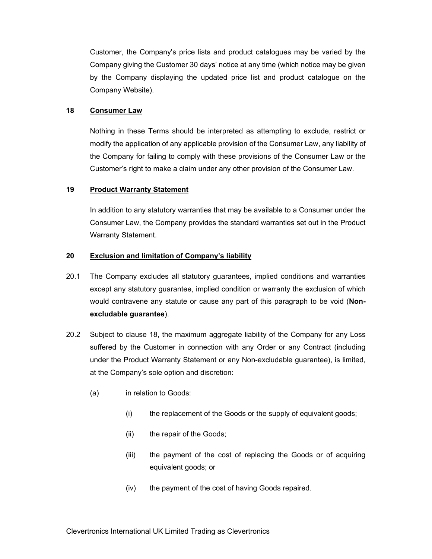Customer, the Company's price lists and product catalogues may be varied by the Company giving the Customer 30 days' notice at any time (which notice may be given by the Company displaying the updated price list and product catalogue on the Company Website).

#### **18 Consumer Law**

Nothing in these Terms should be interpreted as attempting to exclude, restrict or modify the application of any applicable provision of the Consumer Law, any liability of the Company for failing to comply with these provisions of the Consumer Law or the Customer's right to make a claim under any other provision of the Consumer Law.

#### **19 Product Warranty Statement**

In addition to any statutory warranties that may be available to a Consumer under the Consumer Law, the Company provides the standard warranties set out in the Product Warranty Statement.

#### **20 Exclusion and limitation of Company's liability**

- 20.1 The Company excludes all statutory guarantees, implied conditions and warranties except any statutory guarantee, implied condition or warranty the exclusion of which would contravene any statute or cause any part of this paragraph to be void (**Nonexcludable guarantee**).
- 20.2 Subject to clause 18, the maximum aggregate liability of the Company for any Loss suffered by the Customer in connection with any Order or any Contract (including under the Product Warranty Statement or any Non-excludable guarantee), is limited, at the Company's sole option and discretion:
	- (a) in relation to Goods:
		- (i) the replacement of the Goods or the supply of equivalent goods;
		- (ii) the repair of the Goods;
		- (iii) the payment of the cost of replacing the Goods or of acquiring equivalent goods; or
		- (iv) the payment of the cost of having Goods repaired.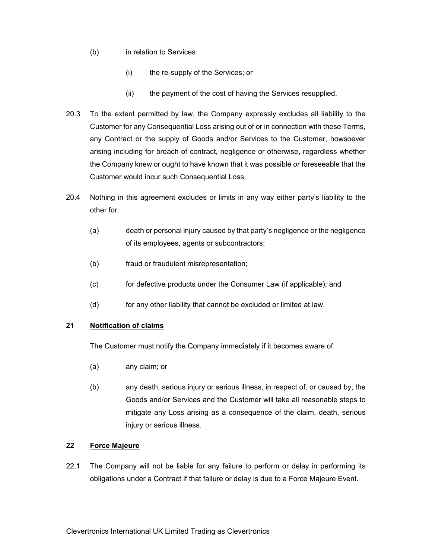- (b) in relation to Services:
	- (i) the re-supply of the Services; or
	- (ii) the payment of the cost of having the Services resupplied.
- 20.3 To the extent permitted by law, the Company expressly excludes all liability to the Customer for any Consequential Loss arising out of or in connection with these Terms, any Contract or the supply of Goods and/or Services to the Customer, howsoever arising including for breach of contract, negligence or otherwise, regardless whether the Company knew or ought to have known that it was possible or foreseeable that the Customer would incur such Consequential Loss.
- 20.4 Nothing in this agreement excludes or limits in any way either party's liability to the other for:
	- (a) death or personal injury caused by that party's negligence or the negligence of its employees, agents or subcontractors;
	- (b) fraud or fraudulent misrepresentation;
	- (c) for defective products under the Consumer Law (if applicable); and
	- (d) for any other liability that cannot be excluded or limited at law.

### **21 Notification of claims**

The Customer must notify the Company immediately if it becomes aware of:

- (a) any claim; or
- (b) any death, serious injury or serious illness, in respect of, or caused by, the Goods and/or Services and the Customer will take all reasonable steps to mitigate any Loss arising as a consequence of the claim, death, serious injury or serious illness.

### **22 Force Majeure**

22.1 The Company will not be liable for any failure to perform or delay in performing its obligations under a Contract if that failure or delay is due to a Force Majeure Event.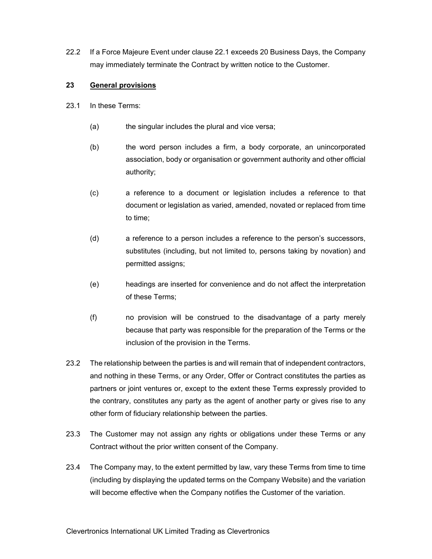22.2 If a Force Majeure Event under clause 22.1 exceeds 20 Business Days, the Company may immediately terminate the Contract by written notice to the Customer.

## **23 General provisions**

- 23.1 In these Terms:
	- (a) the singular includes the plural and vice versa;
	- (b) the word person includes a firm, a body corporate, an unincorporated association, body or organisation or government authority and other official authority;
	- (c) a reference to a document or legislation includes a reference to that document or legislation as varied, amended, novated or replaced from time to time;
	- (d) a reference to a person includes a reference to the person's successors, substitutes (including, but not limited to, persons taking by novation) and permitted assigns;
	- (e) headings are inserted for convenience and do not affect the interpretation of these Terms;
	- (f) no provision will be construed to the disadvantage of a party merely because that party was responsible for the preparation of the Terms or the inclusion of the provision in the Terms.
- 23.2 The relationship between the parties is and will remain that of independent contractors, and nothing in these Terms, or any Order, Offer or Contract constitutes the parties as partners or joint ventures or, except to the extent these Terms expressly provided to the contrary, constitutes any party as the agent of another party or gives rise to any other form of fiduciary relationship between the parties.
- 23.3 The Customer may not assign any rights or obligations under these Terms or any Contract without the prior written consent of the Company.
- 23.4 The Company may, to the extent permitted by law, vary these Terms from time to time (including by displaying the updated terms on the Company Website) and the variation will become effective when the Company notifies the Customer of the variation.